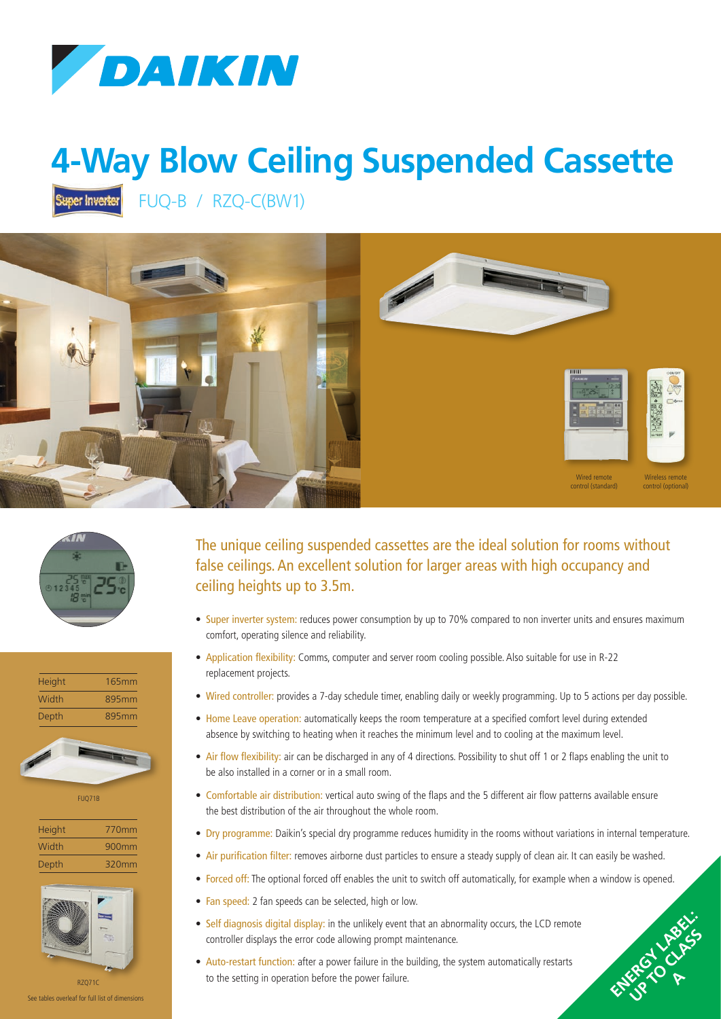

## **4-Way Blow Ceiling Suspended Cassette**

FUQ-B / RZQ-C(BW1) Super Inverter









FUQ71B

| <b>Height</b> | 770mm    |
|---------------|----------|
| Width         | $900$ mm |
| Depth         | 320mm    |



See tables overleaf for full list of dimensions

The unique ceiling suspended cassettes are the ideal solution for rooms without false ceilings. An excellent solution for larger areas with high occupancy and ceiling heights up to 3.5m.

- Super inverter system: reduces power consumption by up to 70% compared to non inverter units and ensures maximum comfort, operating silence and reliability.
- Application flexibility: Comms, computer and server room cooling possible. Also suitable for use in R-22 replacement projects.
- Wired controller: provides a 7-day schedule timer, enabling daily or weekly programming. Up to 5 actions per day possible.
- Home Leave operation: automatically keeps the room temperature at a specified comfort level during extended absence by switching to heating when it reaches the minimum level and to cooling at the maximum level.
- Air flow flexibility: air can be discharged in any of 4 directions. Possibility to shut off 1 or 2 flaps enabling the unit to be also installed in a corner or in a small room.
- Comfortable air distribution: vertical auto swing of the flaps and the 5 different air flow patterns available ensure the best distribution of the air throughout the whole room.
- Dry programme: Daikin's special dry programme reduces humidity in the rooms without variations in internal temperature.
- Air purification filter: removes airborne dust particles to ensure a steady supply of clean air. It can easily be washed.
- Forced off: The optional forced off enables the unit to switch off automatically, for example when a window is opened.

ENERGY LABEL: UP TO CLASS P **A**

- Fan speed: 2 fan speeds can be selected, high or low.
- Self diagnosis digital display: in the unlikely event that an abnormality occurs, the LCD remote controller displays the error code allowing prompt maintenance.
- Auto-restart function: after a power failure in the building, the system automatically restarts to the setting in operation before the power failure.